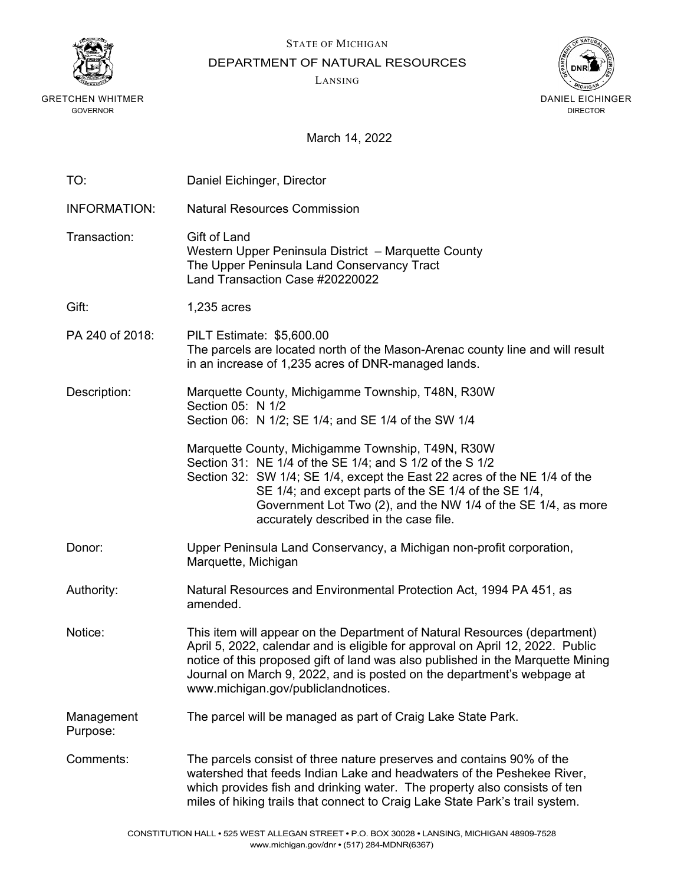

GRETCHEN WHITMER GOVERNOR

STATE OF MICHIGAN

DEPARTMENT OF NATURAL RESOURCES

LANSING



March 14, 2022

| TO:                    | Daniel Eichinger, Director                                                                                                                                                                                                                                                                                                                                      |
|------------------------|-----------------------------------------------------------------------------------------------------------------------------------------------------------------------------------------------------------------------------------------------------------------------------------------------------------------------------------------------------------------|
| <b>INFORMATION:</b>    | <b>Natural Resources Commission</b>                                                                                                                                                                                                                                                                                                                             |
| Transaction:           | Gift of Land<br>Western Upper Peninsula District - Marquette County<br>The Upper Peninsula Land Conservancy Tract<br>Land Transaction Case #20220022                                                                                                                                                                                                            |
| Gift:                  | 1,235 acres                                                                                                                                                                                                                                                                                                                                                     |
| PA 240 of 2018:        | <b>PILT Estimate: \$5,600.00</b><br>The parcels are located north of the Mason-Arenac county line and will result<br>in an increase of 1,235 acres of DNR-managed lands.                                                                                                                                                                                        |
| Description:           | Marquette County, Michigamme Township, T48N, R30W                                                                                                                                                                                                                                                                                                               |
|                        | Section 05: N 1/2<br>Section 06: N 1/2; SE 1/4; and SE 1/4 of the SW 1/4                                                                                                                                                                                                                                                                                        |
|                        | Marquette County, Michigamme Township, T49N, R30W<br>Section 31: NE 1/4 of the SE 1/4; and S 1/2 of the S 1/2<br>Section 32: SW 1/4; SE 1/4, except the East 22 acres of the NE 1/4 of the<br>SE 1/4; and except parts of the SE 1/4 of the SE 1/4,<br>Government Lot Two (2), and the NW 1/4 of the SE 1/4, as more<br>accurately described in the case file.  |
| Donor:                 | Upper Peninsula Land Conservancy, a Michigan non-profit corporation,<br>Marquette, Michigan                                                                                                                                                                                                                                                                     |
| Authority:             | Natural Resources and Environmental Protection Act, 1994 PA 451, as<br>amended.                                                                                                                                                                                                                                                                                 |
| Notice:                | This item will appear on the Department of Natural Resources (department)<br>April 5, 2022, calendar and is eligible for approval on April 12, 2022. Public<br>notice of this proposed gift of land was also published in the Marquette Mining<br>Journal on March 9, 2022, and is posted on the department's webpage at<br>www.michigan.gov/publiclandnotices. |
| Management<br>Purpose: | The parcel will be managed as part of Craig Lake State Park.                                                                                                                                                                                                                                                                                                    |
| Comments:              | The parcels consist of three nature preserves and contains 90% of the<br>watershed that feeds Indian Lake and headwaters of the Peshekee River,<br>which provides fish and drinking water. The property also consists of ten<br>miles of hiking trails that connect to Craig Lake State Park's trail system.                                                    |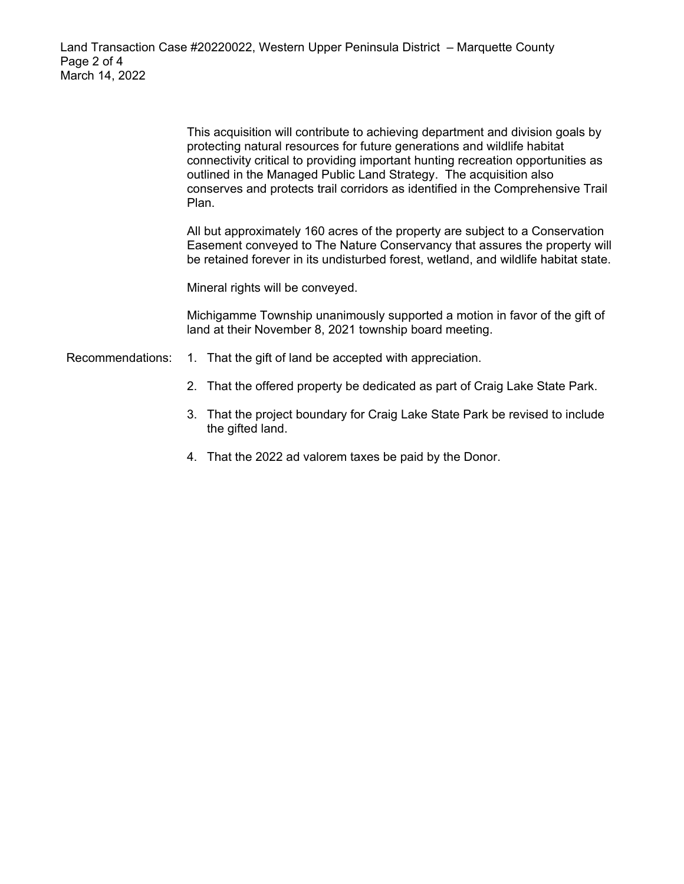This acquisition will contribute to achieving department and division goals by protecting natural resources for future generations and wildlife habitat connectivity critical to providing important hunting recreation opportunities as outlined in the Managed Public Land Strategy. The acquisition also conserves and protects trail corridors as identified in the Comprehensive Trail Plan.

All but approximately 160 acres of the property are subject to a Conservation Easement conveyed to The Nature Conservancy that assures the property will be retained forever in its undisturbed forest, wetland, and wildlife habitat state.

Mineral rights will be conveyed.

Michigamme Township unanimously supported a motion in favor of the gift of land at their November 8, 2021 township board meeting.

Recommendations: 1. That the gift of land be accepted with appreciation.

- 2. That the offered property be dedicated as part of Craig Lake State Park.
- 3. That the project boundary for Craig Lake State Park be revised to include the gifted land.
- 4. That the 2022 ad valorem taxes be paid by the Donor.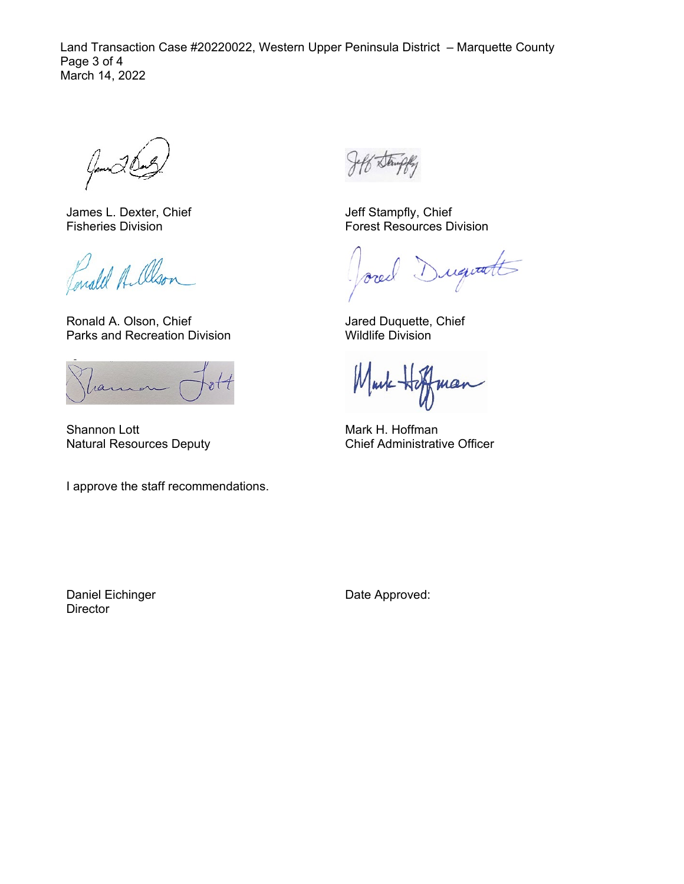Land Transaction Case #20220022, Western Upper Peninsula District – Marquette County Page 3 of 4 March 14, 2022

Games

James L. Dexter, Chief Fisheries Division

Lonald A. alson

Ronald A. Olson, Chief Parks and Recreation Division

ran

Shannon Lott Natural Resources Deputy

I approve the staff recommendations.

Jeff Stampfly, Chief Forest Resources Division

Duquatt orec

Jared Duquette, Chief Wildlife Division

Mark mar

Mark H. Hoffman Chief Administrative Officer

Daniel Eichinger **Director** 

Date Approved: